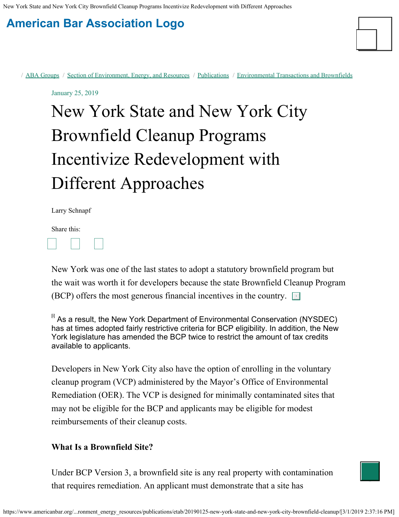New York State and New York City Brownfield Cleanup Programs Incentivize Redevelopment with Different Approaches

# **[American Bar Association Logo](https://www.americanbar.org/)**



/ [ABA Groups](https://www.americanbar.org/groups/) / [Section of Environment, Energy, and Resources](https://www.americanbar.org/groups/environment_energy_resources/) / [Publications](https://www.americanbar.org/groups/environment_energy_resources/publications/) / [Environmental Transactions and Brownfields](https://www.americanbar.org/groups/environment_energy_resources/publications/etab/)

January 25, 2019

# New York State and New York City Brownfield Cleanup Programs Incentivize Redevelopment with Different Approaches

Larry Schnapf

Share this: 

New York was one of the last states to adopt a statutory brownfield program but the wait was worth it for developers because the state Brownfield Cleanup Program (BCP) offers the most generous financial incentives in the country.  $\Box$ 

 $^{\boxplus}$  As a result, the New York Department of Environmental Conservation (NYSDEC) has at times adopted fairly restrictive criteria for BCP eligibility. In addition, the New York legislature has amended the BCP twice to restrict the amount of tax credits available to applicants.

Developers in New York City also have the option of enrolling in the voluntary cleanup program (VCP) administered by the Mayor's Office of Environmental Remediation (OER). The VCP is designed for minimally contaminated sites that may not be eligible for the BCP and applicants may be eligible for modest reimbursements of their cleanup costs.

#### **What Is a Brownfield Site?**

Under BCP Version 3, a brownfield site is any real property with contamination that requires remediation. An applicant must demonstrate that a site has

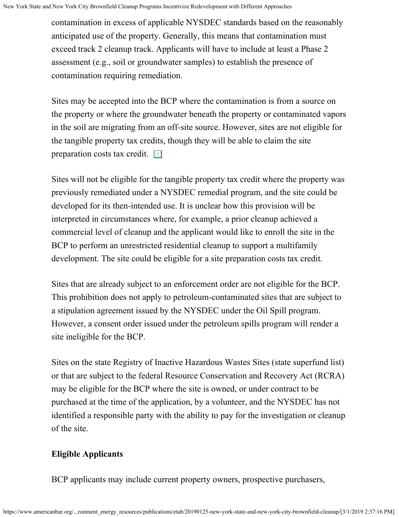contamination in excess of applicable NYSDEC standards based on the reasonably anticipated use of the property. Generally, this means that contamination must exceed track 2 cleanup track. Applicants will have to include at least a Phase 2 assessment (e.g., soil or groundwater samples) to establish the presence of contamination requiring remediation.

Sites may be accepted into the BCP where the contamination is from a source on the property or where the groundwater beneath the property or contaminated vapors in the soil are migrating from an off-site source. However, sites are not eligible for the tangible property tax credits, though they will be able to claim the site preparation costs tax credit.

Sites will not be eligible for the tangible property tax credit where the property was previously remediated under a NYSDEC remedial program, and the site could be developed for its then-intended use. It is unclear how this provision will be interpreted in circumstances where, for example, a prior cleanup achieved a commercial level of cleanup and the applicant would like to enroll the site in the BCP to perform an unrestricted residential cleanup to support a multifamily development. The site could be eligible for a site preparation costs tax credit.

Sites that are already subject to an enforcement order are not eligible for the BCP. This prohibition does not apply to petroleum-contaminated sites that are subject to a stipulation agreement issued by the NYSDEC under the Oil Spill program. However, a consent order issued under the petroleum spills program will render a site ineligible for the BCP.

Sites on the state Registry of Inactive Hazardous Wastes Sites (state superfund list) or that are subject to the federal Resource Conservation and Recovery Act (RCRA) may be eligible for the BCP where the site is owned, or under contract to be purchased at the time of the application, by a volunteer, and the NYSDEC has not identified a responsible party with the ability to pay for the investigation or cleanup of the site.

# **Eligible Applicants**

BCP applicants may include current property owners, prospective purchasers,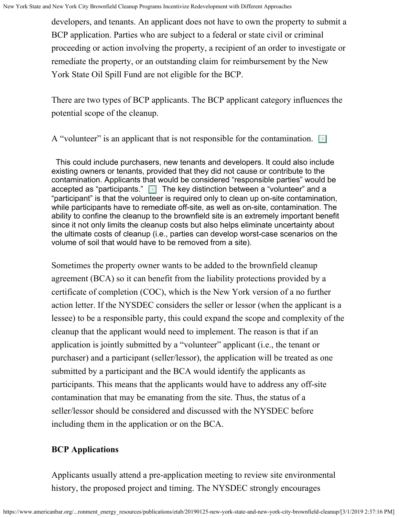developers, and tenants. An applicant does not have to own the property to submit a BCP application. Parties who are subject to a federal or state civil or criminal proceeding or action involving the property, a recipient of an order to investigate or remediate the property, or an outstanding claim for reimbursement by the New York State Oil Spill Fund are not eligible for the BCP.

There are two types of BCP applicants. The BCP applicant category influences the potential scope of the cleanup.

A "volunteer" is an applicant that is not responsible for the contamination.  $\Box$ 

 This could include purchasers, new tenants and developers. It could also include existing owners or tenants, provided that they did not cause or contribute to the contamination. Applicants that would be considered "responsible parties" would be accepted as "participants." <mark>⊡</mark> The key distinction between a "volunteer" and a "participant" is that the volunteer is required only to clean up on-site contamination, while participants have to remediate off-site, as well as on-site, contamination. The ability to confine the cleanup to the brownfield site is an extremely important benefit since it not only limits the cleanup costs but also helps eliminate uncertainty about the ultimate costs of cleanup (i.e., parties can develop worst-case scenarios on the volume of soil that would have to be removed from a site).

Sometimes the property owner wants to be added to the brownfield cleanup agreement (BCA) so it can benefit from the liability protections provided by a certificate of completion (COC), which is the New York version of a no further action letter. If the NYSDEC considers the seller or lessor (when the applicant is a lessee) to be a responsible party, this could expand the scope and complexity of the cleanup that the applicant would need to implement. The reason is that if an application is jointly submitted by a "volunteer" applicant (i.e., the tenant or purchaser) and a participant (seller/lessor), the application will be treated as one submitted by a participant and the BCA would identify the applicants as participants. This means that the applicants would have to address any off-site contamination that may be emanating from the site. Thus, the status of a seller/lessor should be considered and discussed with the NYSDEC before including them in the application or on the BCA.

# **BCP Applications**

Applicants usually attend a pre-application meeting to review site environmental history, the proposed project and timing. The NYSDEC strongly encourages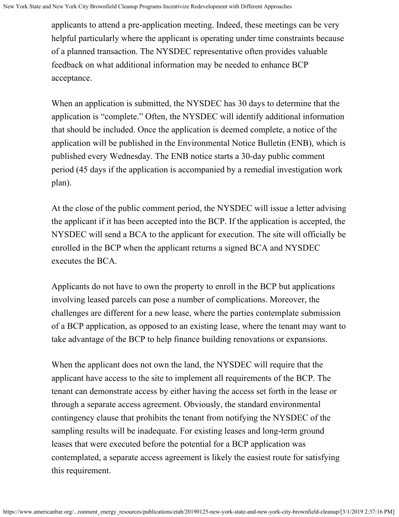applicants to attend a pre-application meeting. Indeed, these meetings can be very helpful particularly where the applicant is operating under time constraints because of a planned transaction. The NYSDEC representative often provides valuable feedback on what additional information may be needed to enhance BCP acceptance.

When an application is submitted, the NYSDEC has 30 days to determine that the application is "complete." Often, the NYSDEC will identify additional information that should be included. Once the application is deemed complete, a notice of the application will be published in the Environmental Notice Bulletin (ENB), which is published every Wednesday. The ENB notice starts a 30-day public comment period (45 days if the application is accompanied by a remedial investigation work plan).

At the close of the public comment period, the NYSDEC will issue a letter advising the applicant if it has been accepted into the BCP. If the application is accepted, the NYSDEC will send a BCA to the applicant for execution. The site will officially be enrolled in the BCP when the applicant returns a signed BCA and NYSDEC executes the BCA.

Applicants do not have to own the property to enroll in the BCP but applications involving leased parcels can pose a number of complications. Moreover, the challenges are different for a new lease, where the parties contemplate submission of a BCP application, as opposed to an existing lease, where the tenant may want to take advantage of the BCP to help finance building renovations or expansions.

When the applicant does not own the land, the NYSDEC will require that the applicant have access to the site to implement all requirements of the BCP. The tenant can demonstrate access by either having the access set forth in the lease or through a separate access agreement. Obviously, the standard environmental contingency clause that prohibits the tenant from notifying the NYSDEC of the sampling results will be inadequate. For existing leases and long-term ground leases that were executed before the potential for a BCP application was contemplated, a separate access agreement is likely the easiest route for satisfying this requirement.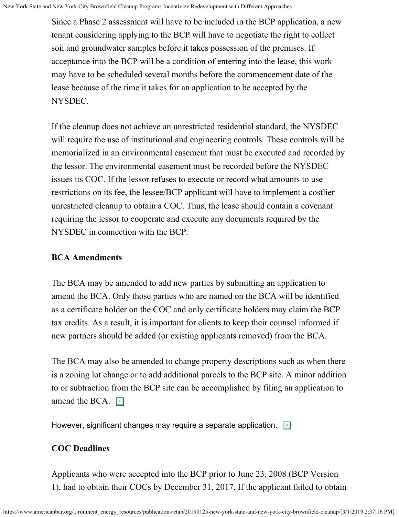Since a Phase 2 assessment will have to be included in the BCP application, a new tenant considering applying to the BCP will have to negotiate the right to collect soil and groundwater samples before it takes possession of the premises. If acceptance into the BCP will be a condition of entering into the lease, this work may have to be scheduled several months before the commencement date of the lease because of the time it takes for an application to be accepted by the NYSDEC.

If the cleanup does not achieve an unrestricted residential standard, the NYSDEC will require the use of institutional and engineering controls. These controls will be memorialized in an environmental easement that must be executed and recorded by the lessor. The environmental easement must be recorded before the NYSDEC issues its COC. If the lessor refuses to execute or record what amounts to use restrictions on its fee, the lessee/BCP applicant will have to implement a costlier unrestricted cleanup to obtain a COC. Thus, the lease should contain a covenant requiring the lessor to cooperate and execute any documents required by the NYSDEC in connection with the BCP.

### **BCA Amendments**

The BCA may be amended to add new parties by submitting an application to amend the BCA. Only those parties who are named on the BCA will be identified as a certificate holder on the COC and only certificate holders may claim the BCP tax credits. As a result, it is important for clients to keep their counsel informed if new partners should be added (or existing applicants removed) from the BCA.

The BCA may also be amended to change property descriptions such as when there is a zoning lot change or to add additional parcels to the BCP site. A minor addition to or subtraction from the BCP site can be accomplished by filing an application to amend the BCA.  $\boxed{\phantom{1}}$ 

However, significant changes may require a separate application.  $\square$ 

# **COC Deadlines**

Applicants who were accepted into the BCP prior to June 23, 2008 (BCP Version 1), had to obtain their COCs by December 31, 2017. If the applicant failed to obtain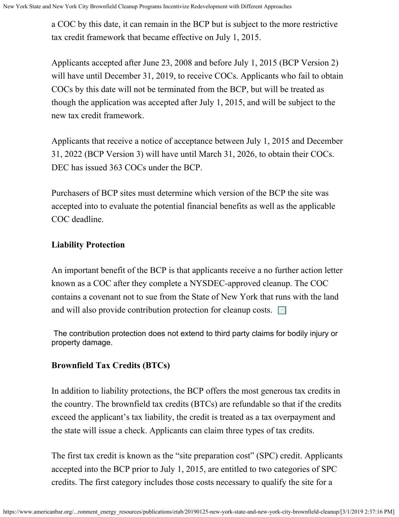a COC by this date, it can remain in the BCP but is subject to the more restrictive tax credit framework that became effective on July 1, 2015.

Applicants accepted after June 23, 2008 and before July 1, 2015 (BCP Version 2) will have until December 31, 2019, to receive COCs. Applicants who fail to obtain COCs by this date will not be terminated from the BCP, but will be treated as though the application was accepted after July 1, 2015, and will be subject to the new tax credit framework.

Applicants that receive a notice of acceptance between July 1, 2015 and December 31, 2022 (BCP Version 3) will have until March 31, 2026, to obtain their COCs. DEC has issued 363 COCs under the BCP.

Purchasers of BCP sites must determine which version of the BCP the site was accepted into to evaluate the potential financial benefits as well as the applicable COC deadline.

## **Liability Protection**

An important benefit of the BCP is that applicants receive a no further action letter known as a COC after they complete a NYSDEC-approved cleanup. The COC contains a covenant not to sue from the State of New York that runs with the land and will also provide contribution protection for cleanup costs.  $\Box$ 

The contribution protection does not extend to third party claims for bodily injury or property damage.

# **Brownfield Tax Credits (BTCs)**

In addition to liability protections, the BCP offers the most generous tax credits in the country. The brownfield tax credits (BTCs) are refundable so that if the credits exceed the applicant's tax liability, the credit is treated as a tax overpayment and the state will issue a check. Applicants can claim three types of tax credits.

The first tax credit is known as the "site preparation cost" (SPC) credit. Applicants accepted into the BCP prior to July 1, 2015, are entitled to two categories of SPC credits. The first category includes those costs necessary to qualify the site for a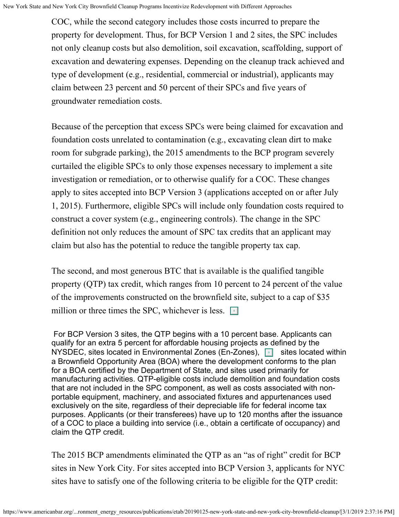COC, while the second category includes those costs incurred to prepare the property for development. Thus, for BCP Version 1 and 2 sites, the SPC includes not only cleanup costs but also demolition, soil excavation, scaffolding, support of excavation and dewatering expenses. Depending on the cleanup track achieved and type of development (e.g., residential, commercial or industrial), applicants may claim between 23 percent and 50 percent of their SPCs and five years of groundwater remediation costs.

Because of the perception that excess SPCs were being claimed for excavation and foundation costs unrelated to contamination (e.g., excavating clean dirt to make room for subgrade parking), the 2015 amendments to the BCP program severely curtailed the eligible SPCs to only those expenses necessary to implement a site investigation or remediation, or to otherwise qualify for a COC. These changes apply to sites accepted into BCP Version 3 (applications accepted on or after July 1, 2015). Furthermore, eligible SPCs will include only foundation costs required to construct a cover system (e.g., engineering controls). The change in the SPC definition not only reduces the amount of SPC tax credits that an applicant may claim but also has the potential to reduce the tangible property tax cap.

The second, and most generous BTC that is available is the qualified tangible property (QTP) tax credit, which ranges from 10 percent to 24 percent of the value of the improvements constructed on the brownfield site, subject to a cap of \$35 million or three times the SPC, whichever is less.  $\sqrt{\frac{1}{2}}$ 

For BCP Version 3 sites, the QTP begins with a 10 percent base. Applicants can qualify for an extra 5 percent for affordable housing projects as defined by the NYSDEC, sites located in Environmental Zones (En-Zones), sites located within a Brownfield Opportunity Area (BOA) where the development conforms to the plan for a BOA certified by the Department of State, and sites used primarily for manufacturing activities. QTP-eligible costs include demolition and foundation costs that are not included in the SPC component, as well as costs associated with nonportable equipment, machinery, and associated fixtures and appurtenances used exclusively on the site, regardless of their depreciable life for federal income tax purposes. Applicants (or their transferees) have up to 120 months after the issuance of a COC to place a building into service (i.e., obtain a certificate of occupancy) and claim the QTP credit.

The 2015 BCP amendments eliminated the QTP as an "as of right" credit for BCP sites in New York City. For sites accepted into BCP Version 3, applicants for NYC sites have to satisfy one of the following criteria to be eligible for the QTP credit: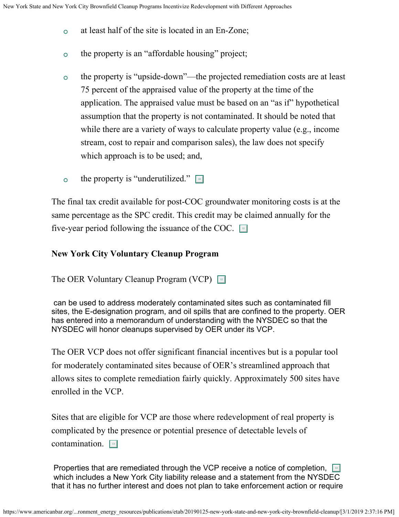- at least half of the site is located in an En-Zone;  $\circ$
- the property is an "affordable housing" project;  $\circ$
- the property is "upside-down"—the projected remediation costs are at least  $\circ$ 75 percent of the appraised value of the property at the time of the application. The appraised value must be based on an "as if" hypothetical assumption that the property is not contaminated. It should be noted that while there are a variety of ways to calculate property value (e.g., income stream, cost to repair and comparison sales), the law does not specify which approach is to be used; and,
- the property is "underutilized."  $\boxed{10}$  $\circ$

The final tax credit available for post-COC groundwater monitoring costs is at the same percentage as the SPC credit. This credit may be claimed annually for the five-year period following the issuance of the COC.  $\Box$ 

#### **New York City Voluntary Cleanup Program**

The OER Voluntary Cleanup Program (VCP)

can be used to address moderately contaminated sites such as contaminated fill sites, the E-designation program, and oil spills that are confined to the property. OER has entered into a memorandum of understanding with the NYSDEC so that the NYSDEC will honor cleanups supervised by OER under its VCP.

The OER VCP does not offer significant financial incentives but is a popular tool for moderately contaminated sites because of OER's streamlined approach that allows sites to complete remediation fairly quickly. Approximately 500 sites have enrolled in the VCP.

Sites that are eligible for VCP are those where redevelopment of real property is complicated by the presence or potential presence of detectable levels of contamination. **13** 

Properties that are remediated through the VCP receive a notice of completion, Fu which includes a New York City liability release and a statement from the NYSDEC that it has no further interest and does not plan to take enforcement action or require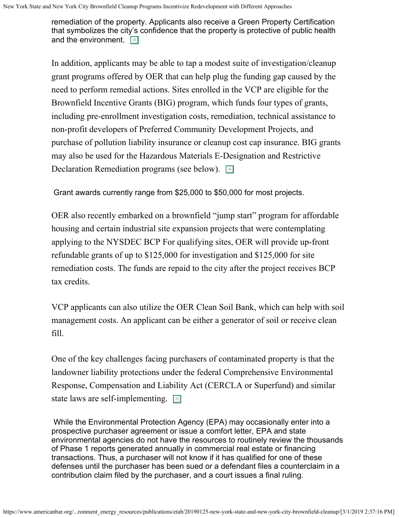remediation of the property. Applicants also receive a Green Property Certification that symbolizes the city's confidence that the property is protective of public health and the environment.  $\boxed{\text{is}}$ 

In addition, applicants may be able to tap a modest suite of investigation/cleanup grant programs offered by OER that can help plug the funding gap caused by the need to perform remedial actions. Sites enrolled in the VCP are eligible for the Brownfield Incentive Grants (BIG) program, which funds four types of grants, including pre-enrollment investigation costs, remediation, technical assistance to non-profit developers of Preferred Community Development Projects, and purchase of pollution liability insurance or cleanup cost cap insurance. BIG grants may also be used for the Hazardous Materials E-Designation and Restrictive Declaration Remediation programs (see below).

Grant awards currently range from \$25,000 to \$50,000 for most projects.

OER also recently embarked on a brownfield "jump start" program for affordable housing and certain industrial site expansion projects that were contemplating applying to the NYSDEC BCP For qualifying sites, OER will provide up-front refundable grants of up to \$125,000 for investigation and \$125,000 for site remediation costs. The funds are repaid to the city after the project receives BCP tax credits.

VCP applicants can also utilize the OER Clean Soil Bank, which can help with soil management costs. An applicant can be either a generator of soil or receive clean fill.

One of the key challenges facing purchasers of contaminated property is that the landowner liability protections under the federal Comprehensive Environmental Response, Compensation and Liability Act (CERCLA or Superfund) and similar state laws are self-implementing.

While the Environmental Protection Agency (EPA) may occasionally enter into a prospective purchaser agreement or issue a comfort letter, EPA and state environmental agencies do not have the resources to routinely review the thousands of Phase 1 reports generated annually in commercial real estate or financing transactions. Thus, a purchaser will not know if it has qualified for one of these defenses until the purchaser has been sued or a defendant files a counterclaim in a contribution claim filed by the purchaser, and a court issues a final ruling.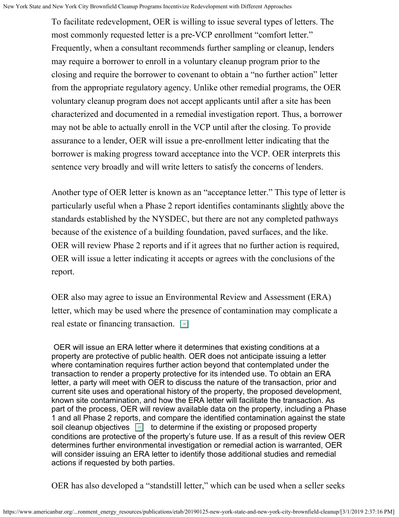To facilitate redevelopment, OER is willing to issue several types of letters. The most commonly requested letter is a pre-VCP enrollment "comfort letter." Frequently, when a consultant recommends further sampling or cleanup, lenders may require a borrower to enroll in a voluntary cleanup program prior to the closing and require the borrower to covenant to obtain a "no further action" letter from the appropriate regulatory agency. Unlike other remedial programs, the OER voluntary cleanup program does not accept applicants until after a site has been characterized and documented in a remedial investigation report. Thus, a borrower may not be able to actually enroll in the VCP until after the closing. To provide assurance to a lender, OER will issue a pre-enrollment letter indicating that the borrower is making progress toward acceptance into the VCP. OER interprets this sentence very broadly and will write letters to satisfy the concerns of lenders.

Another type of OER letter is known as an "acceptance letter." This type of letter is particularly useful when a Phase 2 report identifies contaminants slightly above the standards established by the NYSDEC, but there are not any completed pathways because of the existence of a building foundation, paved surfaces, and the like. OER will review Phase 2 reports and if it agrees that no further action is required, OER will issue a letter indicating it accepts or agrees with the conclusions of the report.

OER also may agree to issue an Environmental Review and Assessment (ERA) letter, which may be used where the presence of contamination may complicate a real estate or financing transaction.

OER will issue an ERA letter where it determines that existing conditions at a property are protective of public health. OER does not anticipate issuing a letter where contamination requires further action beyond that contemplated under the transaction to render a property protective for its intended use. To obtain an ERA letter, a party will meet with OER to discuss the nature of the transaction, prior and current site uses and operational history of the property, the proposed development, known site contamination, and how the ERA letter will facilitate the transaction. As part of the process, OER will review available data on the property, including a Phase 1 and all Phase 2 reports, and compare the identified contamination against the state soil cleanup objectives solution determine if the existing or proposed property conditions are protective of the property's future use. If as a result of this review OER determines further environmental investigation or remedial action is warranted, OER will consider issuing an ERA letter to identify those additional studies and remedial actions if requested by both parties.

OER has also developed a "standstill letter," which can be used when a seller seeks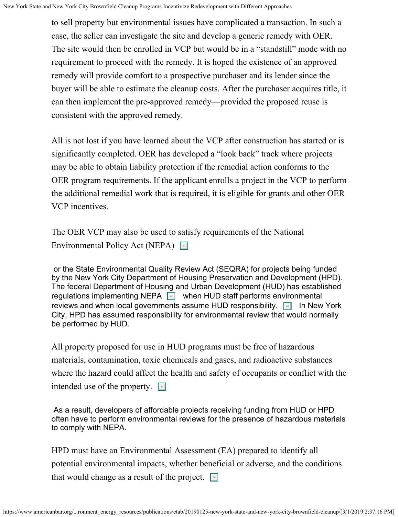to sell property but environmental issues have complicated a transaction. In such a case, the seller can investigate the site and develop a generic remedy with OER. The site would then be enrolled in VCP but would be in a "standstill" mode with no requirement to proceed with the remedy. It is hoped the existence of an approved remedy will provide comfort to a prospective purchaser and its lender since the buyer will be able to estimate the cleanup costs. After the purchaser acquires title, it can then implement the pre-approved remedy—provided the proposed reuse is consistent with the approved remedy.

All is not lost if you have learned about the VCP after construction has started or is significantly completed. OER has developed a "look back" track where projects may be able to obtain liability protection if the remedial action conforms to the OER program requirements. If the applicant enrolls a project in the VCP to perform the additional remedial work that is required, it is eligible for grants and other OER VCP incentives.

The OER VCP may also be used to satisfy requirements of the National Environmental Policy Act (NEPA)

or the State Environmental Quality Review Act (SEQRA) for projects being funded by the New York City Department of Housing Preservation and Development (HPD). The federal Department of Housing and Urban Development (HUD) has established regulations implementing NEPA <u>part</u> when HUD staff performs environmental reviews and when local governments assume HUD responsibility.  $\boxed{\tiny 22}$  . In New York City, HPD has assumed responsibility for environmental review that would normally be performed by HUD.

All property proposed for use in HUD programs must be free of hazardous materials, contamination, toxic chemicals and gases, and radioactive substances where the hazard could affect the health and safety of occupants or conflict with the intended use of the property.  $\boxed{\phantom{a}^{\text{3}}}$ 

As a result, developers of affordable projects receiving funding from HUD or HPD often have to perform environmental reviews for the presence of hazardous materials to comply with NEPA.

HPD must have an Environmental Assessment (EA) prepared to identify all potential environmental impacts, whether beneficial or adverse, and the conditions that would change as a result of the project.  $\boxed{4}$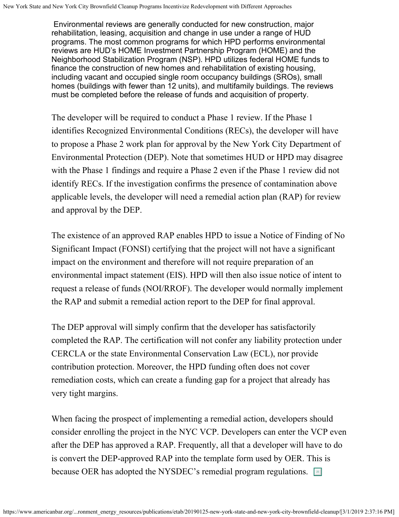Environmental reviews are generally conducted for new construction, major rehabilitation, leasing, acquisition and change in use under a range of HUD programs. The most common programs for which HPD performs environmental reviews are HUD's HOME Investment Partnership Program (HOME) and the Neighborhood Stabilization Program (NSP). HPD utilizes federal HOME funds to finance the construction of new homes and rehabilitation of existing housing, including vacant and occupied single room occupancy buildings (SROs), small homes (buildings with fewer than 12 units), and multifamily buildings. The reviews must be completed before the release of funds and acquisition of property.

The developer will be required to conduct a Phase 1 review. If the Phase 1 identifies Recognized Environmental Conditions (RECs), the developer will have to propose a Phase 2 work plan for approval by the New York City Department of Environmental Protection (DEP). Note that sometimes HUD or HPD may disagree with the Phase 1 findings and require a Phase 2 even if the Phase 1 review did not identify RECs. If the investigation confirms the presence of contamination above applicable levels, the developer will need a remedial action plan (RAP) for review and approval by the DEP.

The existence of an approved RAP enables HPD to issue a Notice of Finding of No Significant Impact (FONSI) certifying that the project will not have a significant impact on the environment and therefore will not require preparation of an environmental impact statement (EIS). HPD will then also issue notice of intent to request a release of funds (NOI/RROF). The developer would normally implement the RAP and submit a remedial action report to the DEP for final approval.

The DEP approval will simply confirm that the developer has satisfactorily completed the RAP. The certification will not confer any liability protection under CERCLA or the state Environmental Conservation Law (ECL), nor provide contribution protection. Moreover, the HPD funding often does not cover remediation costs, which can create a funding gap for a project that already has very tight margins.

When facing the prospect of implementing a remedial action, developers should consider enrolling the project in the NYC VCP. Developers can enter the VCP even after the DEP has approved a RAP. Frequently, all that a developer will have to do is convert the DEP-approved RAP into the template form used by OER. This is because OER has adopted the NYSDEC's remedial program regulations.  $\boxed{\phantom{2}5}$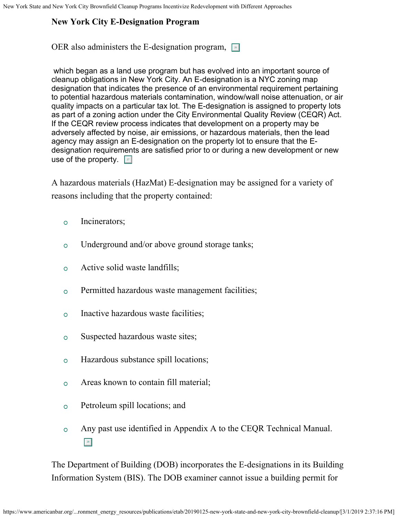# **New York City E-Designation Program**

OER also administers the E-designation program,  $\boxed{\bullet}$ 

which began as a land use program but has evolved into an important source of cleanup obligations in New York City. An E-designation is a NYC zoning map designation that indicates the presence of an environmental requirement pertaining to potential hazardous materials contamination, window/wall noise attenuation, or air quality impacts on a particular tax lot. The E-designation is assigned to property lots as part of a zoning action under the City Environmental Quality Review (CEQR) Act. If the CEQR review process indicates that development on a property may be adversely affected by noise, air emissions, or hazardous materials, then the lead agency may assign an E-designation on the property lot to ensure that the Edesignation requirements are satisfied prior to or during a new development or new use of the property. **27** 

A hazardous materials (HazMat) E-designation may be assigned for a variety of reasons including that the property contained:

- Incinerators;  $\circ$
- Underground and/or above ground storage tanks;  $\overline{O}$
- Active solid waste landfills;  $\circ$
- Permitted hazardous waste management facilities;  $\overline{O}$
- Inactive hazardous waste facilities;  $\overline{O}$
- Suspected hazardous waste sites;  $\circ$
- Hazardous substance spill locations;  $\circ$
- Areas known to contain fill material;  $\overline{O}$
- Petroleum spill locations; and  $\circ$
- Any past use identified in Appendix A to the CEQR Technical Manual.  $\overline{O}$ 28 28

The Department of Building (DOB) incorporates the E-designations in its Building Information System (BIS). The DOB examiner cannot issue a building permit for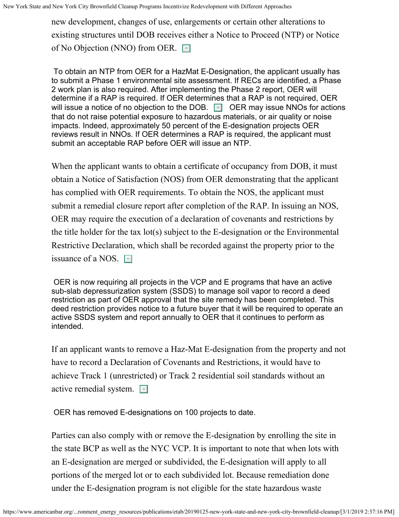new development, changes of use, enlargements or certain other alterations to existing structures until DOB receives either a Notice to Proceed (NTP) or Notice of No Objection (NNO) from OER.

To obtain an NTP from OER for a HazMat E-Designation, the applicant usually has to submit a Phase 1 environmental site assessment. If RECs are identified, a Phase 2 work plan is also required. After implementing the Phase 2 report, OER will determine if a RAP is required. If OER determines that a RAP is not required, OER will issue a notice of no objection to the DOB. [◉] OER may issue NNOs for actions that do not raise potential exposure to hazardous materials, or air quality or noise impacts. Indeed, approximately 50 percent of the E-designation projects OER reviews result in NNOs. If OER determines a RAP is required, the applicant must submit an acceptable RAP before OER will issue an NTP.

When the applicant wants to obtain a certificate of occupancy from DOB, it must obtain a Notice of Satisfaction (NOS) from OER demonstrating that the applicant has complied with OER requirements. To obtain the NOS, the applicant must submit a remedial closure report after completion of the RAP. In issuing an NOS, OER may require the execution of a declaration of covenants and restrictions by the title holder for the tax lot(s) subject to the E-designation or the Environmental Restrictive Declaration, which shall be recorded against the property prior to the issuance of a NOS.  $\boxed{\phantom{1}}$ 

OER is now requiring all projects in the VCP and E programs that have an active sub-slab depressurization system (SSDS) to manage soil vapor to record a deed restriction as part of OER approval that the site remedy has been completed. This deed restriction provides notice to a future buyer that it will be required to operate an active SSDS system and report annually to OER that it continues to perform as intended.

If an applicant wants to remove a Haz-Mat E-designation from the property and not have to record a Declaration of Covenants and Restrictions, it would have to achieve Track 1 (unrestricted) or Track 2 residential soil standards without an active remedial system. 2

OER has removed E-designations on 100 projects to date.

Parties can also comply with or remove the E-designation by enrolling the site in the state BCP as well as the NYC VCP. It is important to note that when lots with an E-designation are merged or subdivided, the E-designation will apply to all portions of the merged lot or to each subdivided lot. Because remediation done under the E-designation program is not eligible for the state hazardous waste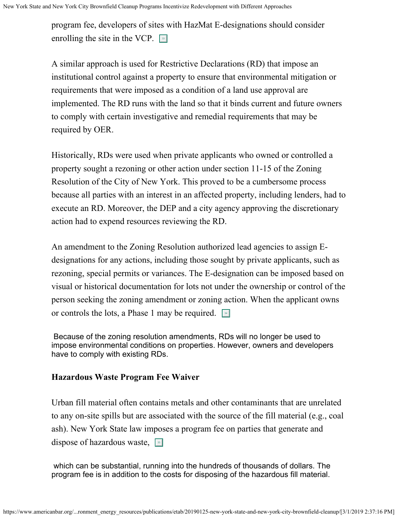program fee, developers of sites with HazMat E-designations should consider enrolling the site in the VCP.  $\Box$ 

A similar approach is used for Restrictive Declarations (RD) that impose an institutional control against a property to ensure that environmental mitigation or requirements that were imposed as a condition of a land use approval are implemented. The RD runs with the land so that it binds current and future owners to comply with certain investigative and remedial requirements that may be required by OER.

Historically, RDs were used when private applicants who owned or controlled a property sought a rezoning or other action under section 11-15 of the Zoning Resolution of the City of New York. This proved to be a cumbersome process because all parties with an interest in an affected property, including lenders, had to execute an RD. Moreover, the DEP and a city agency approving the discretionary action had to expend resources reviewing the RD.

An amendment to the Zoning Resolution authorized lead agencies to assign Edesignations for any actions, including those sought by private applicants, such as rezoning, special permits or variances. The E-designation can be imposed based on visual or historical documentation for lots not under the ownership or control of the person seeking the zoning amendment or zoning action. When the applicant owns or controls the lots, a Phase 1 may be required.  $\boxed{\phantom{a}^*}$ 

Because of the zoning resolution amendments, RDs will no longer be used to impose environmental conditions on properties. However, owners and developers have to comply with existing RDs.

#### **Hazardous Waste Program Fee Waiver**

Urban fill material often contains metals and other contaminants that are unrelated to any on-site spills but are associated with the source of the fill material (e.g., coal ash). New York State law imposes a program fee on parties that generate and dispose of hazardous waste, so

which can be substantial, running into the hundreds of thousands of dollars. The program fee is in addition to the costs for disposing of the hazardous fill material.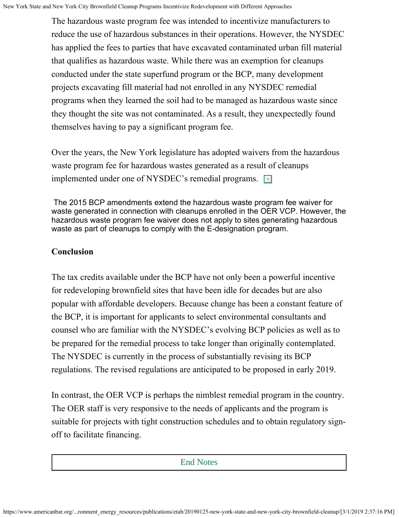The hazardous waste program fee was intended to incentivize manufacturers to reduce the use of hazardous substances in their operations. However, the NYSDEC has applied the fees to parties that have excavated contaminated urban fill material that qualifies as hazardous waste. While there was an exemption for cleanups conducted under the state superfund program or the BCP, many development projects excavating fill material had not enrolled in any NYSDEC remedial programs when they learned the soil had to be managed as hazardous waste since they thought the site was not contaminated. As a result, they unexpectedly found themselves having to pay a significant program fee.

Over the years, the New York legislature has adopted waivers from the hazardous waste program fee for hazardous wastes generated as a result of cleanups implemented under one of NYSDEC's remedial programs. [36]

The 2015 BCP amendments extend the hazardous waste program fee waiver for waste generated in connection with cleanups enrolled in the OER VCP. However, the hazardous waste program fee waiver does not apply to sites generating hazardous waste as part of cleanups to comply with the E-designation program.

#### **Conclusion**

End Notes

The tax credits available under the BCP have not only been a powerful incentive for redeveloping brownfield sites that have been idle for decades but are also popular with affordable developers. Because change has been a constant feature of the BCP, it is important for applicants to select environmental consultants and counsel who are familiar with the NYSDEC's evolving BCP policies as well as to be prepared for the remedial process to take longer than originally contemplated. The NYSDEC is currently in the process of substantially revising its BCP regulations. The revised regulations are anticipated to be proposed in early 2019.

In contrast, the OER VCP is perhaps the nimblest remedial program in the country. The OER staff is very responsive to the needs of applicants and the program is suitable for projects with tight construction schedules and to obtain regulatory signoff to facilitate financing.

#### End Notes

 $\overline{\phantom{a}}$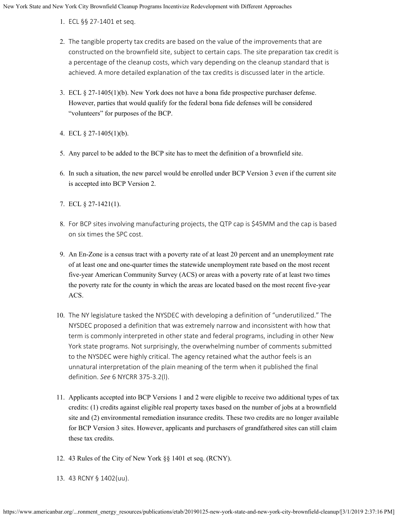- 1. ECL §§ 27-1401 et seq.
- 2. The tangible property tax credits are based on the value of the improvements that are constructed on the brownfield site, subject to certain caps. The site preparation tax credit is a percentage of the cleanup costs, which vary depending on the cleanup standard that is achieved. A more detailed explanation of the tax credits is discussed later in the article.
- 3. ECL § 27-1405(1)(b). New York does not have a bona fide prospective purchaser defense. However, parties that would qualify for the federal bona fide defenses will be considered "volunteers" for purposes of the BCP.
- 4. ECL § 27-1405(1)(b).
- 5. Any parcel to be added to the BCP site has to meet the definition of a brownfield site.
- 6. In such a situation, the new parcel would be enrolled under BCP Version 3 even if the current site is accepted into BCP Version 2.
- 7. ECL § 27-1421(1).
- 8. For BCP sites involving manufacturing projects, the QTP cap is \$45MM and the cap is based on six times the SPC cost.
- 9. An En-Zone is a census tract with a poverty rate of at least 20 percent and an unemployment rate of at least one and one-quarter times the statewide unemployment rate based on the most recent five-year American Community Survey (ACS) or areas with a poverty rate of at least two times the poverty rate for the county in which the areas are located based on the most recent five-year ACS.
- 10. The NY legislature tasked the NYSDEC with developing a definition of "underutilized." The NYSDEC proposed a definition that was extremely narrow and inconsistent with how that term is commonly interpreted in other state and federal programs, including in other New York state programs. Not surprisingly, the overwhelming number of comments submitted to the NYSDEC were highly critical. The agency retained what the author feels is an unnatural interpretation of the plain meaning of the term when it published the final definition. *See* 6 NYCRR 375-3.2(l).
- 11. Applicants accepted into BCP Versions 1 and 2 were eligible to receive two additional types of tax credits: (1) credits against eligible real property taxes based on the number of jobs at a brownfield site and (2) environmental remediation insurance credits. These two credits are no longer available for BCP Version 3 sites. However, applicants and purchasers of grandfathered sites can still claim these tax credits.
- 12. 43 Rules of the City of New York §§ 1401 et seq. (RCNY).
- 13. 43 RCNY § 1402(uu).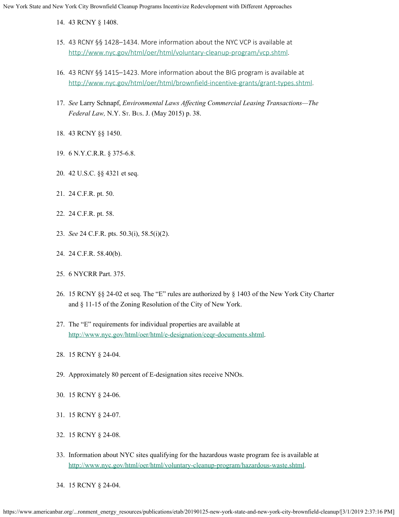14. 43 RCNY § 1408.

- 15. 43 RCNY §§ 1428–1434. More information about the NYC VCP is available at <http://www.nyc.gov/html/oer/html/voluntary-cleanup-program/vcp.shtml>.
- 16. 43 RCNY §§ 1415–1423. More information about the BIG program is available at <http://www.nyc.gov/html/oer/html/brownfield-incentive-grants/grant-types.shtml>.
- 17. *See* Larry Schnapf, *Environmental Laws Affecting Commercial Leasing Transactions—The Federal Law,* N.Y. St. Bus. J. (May 2015) p. 38.
- 18. 43 RCNY §§ 1450.
- 19. 6 N.Y.C.R.R. § 375-6.8.
- 20. 42 U.S.C. §§ 4321 et seq.
- 21. 24 C.F.R. pt. 50.
- 22. 24 C.F.R. pt. 58.
- 23. *See* 24 C.F.R. pts. 50.3(i), 58.5(i)(2).
- 24. 24 C.F.R. 58.40(b).
- 25. 6 NYCRR Part. 375.
- 26. 15 RCNY §§ 24-02 et seq. The "E" rules are authorized by § 1403 of the New York City Charter and § 11-15 of the Zoning Resolution of the City of New York.
- 27. The "E" requirements for individual properties are available at <http://www.nyc.gov/html/oer/html/e-designation/ceqr-documents.shtml>.
- 28. 15 RCNY § 24-04.
- 29. Approximately 80 percent of E-designation sites receive NNOs.
- 30. 15 RCNY § 24-06.
- 31. 15 RCNY § 24-07.
- 32. 15 RCNY § 24-08.
- 33. Information about NYC sites qualifying for the hazardous waste program fee is available at <http://www.nyc.gov/html/oer/html/voluntary-cleanup-program/hazardous-waste.shtml>.
- 34. 15 RCNY § 24-04.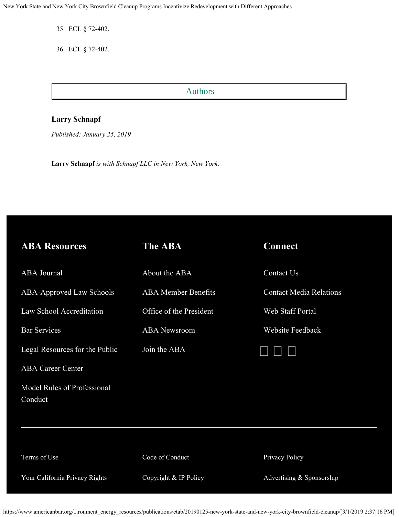New York State and New York City Brownfield Cleanup Programs Incentivize Redevelopment with Different Approaches

35. ECL § 72-402.

36. ECL § 72-402.

#### Authors

 $\overline{\phantom{a}}$ 

#### **Larry Schnapf**

Authors

*Published: January 25, 2019*

**Larry Schnapf** *is with Schnapf LLC in New York, New York.*

| <b>ABA Resources</b>                   | <b>The ABA</b>             | <b>Connect</b>                 |
|----------------------------------------|----------------------------|--------------------------------|
| <b>ABA</b> Journal                     | About the ABA              | Contact Us                     |
| ABA-Approved Law Schools               | <b>ABA</b> Member Benefits | <b>Contact Media Relations</b> |
| Law School Accreditation               | Office of the President    | Web Staff Portal               |
| <b>Bar Services</b>                    | <b>ABA</b> Newsroom        | <b>Website Feedback</b>        |
| Legal Resources for the Public         | Join the ABA               |                                |
| <b>ABA Career Center</b>               |                            |                                |
| Model Rules of Professional<br>Conduct |                            |                                |
|                                        |                            |                                |
|                                        |                            |                                |
| Terms of Use                           | Code of Conduct            | Privacy Policy                 |
| Your California Privacy Rights         | Copyright & IP Policy      | Advertising & Sponsorship      |

https://www.americanbar.org/...ronment\_energy\_resources/publications/etab/20190125-new-york-state-and-new-york-city-brownfield-cleanup/[3/1/2019 2:37:16 PM]